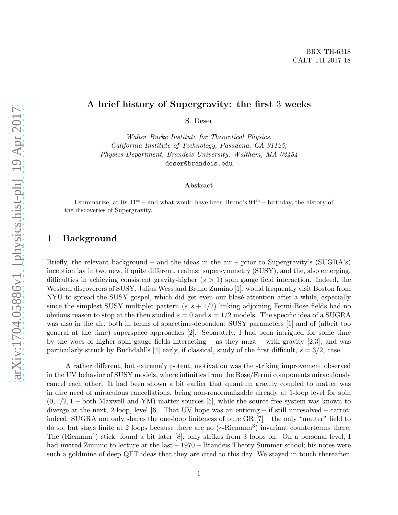#### A brief history of Supergravity: the first 3 weeks

S. Deser

Walter Burke Institute for Theoretical Physics, California Institute of Technology, Pasadena, CA 91125; Physics Department, Brandeis University, Waltham, MA 02454 deser@brandeis.edu

#### Abstract

I summarize, at its  $41^{st}$  – and what would have been Bruno's  $94^{th}$  – birthday, the history of the discoveries of Supergravity.

#### 1 Background

Briefly, the relevant background – and the ideas in the air – prior to Supergravity's  $(SUGRA's)$ inception lay in two new, if quite different, realms: supersymmetry (SUSY), and the, also emerging, difficulties in achieving consistent gravity-higher  $(s > 1)$  spin gauge field interaction. Indeed, the Western discoverers of SUSY, Julius Wess and Bruno Zumino [1], would frequently visit Boston from NYU to spread the SUSY gospel, which did get even our blase attention after a while, especially since the simplest SUSY multiplet pattern  $(s, s + 1/2)$  linking adjoining Fermi-Bose fields had no obvious reason to stop at the then studied  $s = 0$  and  $s = 1/2$  models. The specific idea of a SUGRA was also in the air, both in terms of spacetime-dependent SUSY parameters [1] and of (albeit too general at the time) superspace approaches [2]. Separately, I had been intrigued for some time by the woes of higher spin gauge fields interacting – as they must – with gravity  $[2,3]$ , and was particularly struck by Buchdahl's [4] early, if classical, study of the first difficult,  $s = 3/2$ , case.

A rather different, but extremely potent, motivation was the striking improvement observed in the UV behavior of SUSY models, where infinities from the Bose/Fermi components miraculously cancel each other. It had been shown a bit earlier that quantum gravity coupled to matter was in dire need of miraculous cancellations, being non-renormalizable already at 1-loop level for spin  $(0, 1/2, 1$  – both Maxwell and YM) matter sources [5], while the source-free system was known to diverge at the next, 2-loop, level  $[6]$ . That UV hope was an enticing – if still unresolved – carrot; indeed, SUGRA not only shares the one-loop finiteness of pure GR [7] – the only "matter" field to do so, but stays finite at 2 loops because there are no (∼Riemann<sup>3</sup> ) invariant counterterms there. The (Riemann<sup>4</sup>) stick, found a bit later [8], only strikes from 3 loops on. On a personal level, I had invited Zumino to lecture at the last  $-1970$  – Brandeis Theory Summer school; his notes were such a goldmine of deep QFT ideas that they are cited to this day. We stayed in touch thereafter,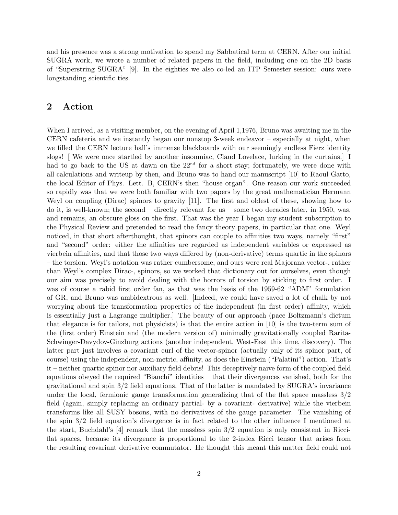and his presence was a strong motivation to spend my Sabbatical term at CERN. After our initial SUGRA work, we wrote a number of related papers in the field, including one on the 2D basis of "Superstring SUGRA" [9]. In the eighties we also co-led an ITP Semester session: ours were longstanding scientific ties.

### 2 Action

When I arrived, as a visiting member, on the evening of April 1,1976, Bruno was awaiting me in the CERN cafeteria and we instantly began our nonstop 3-week endeavor – especially at night, when we filled the CERN lecture hall's immense blackboards with our seemingly endless Fierz identity slogs! [ We were once startled by another insomniac, Claud Lovelace, lurking in the curtains.] I had to go back to the US at dawn on the  $22<sup>nd</sup>$  for a short stay; fortunately, we were done with all calculations and writeup by then, and Bruno was to hand our manuscript [10] to Raoul Gatto, the local Editor of Phys. Lett. B, CERN's then "house organ". One reason our work succeeded so rapidly was that we were both familiar with two papers by the great mathematician Hermann Weyl on coupling (Dirac) spinors to gravity [11]. The first and oldest of these, showing how to do it, is well-known; the second – directly relevant for us – some two decades later, in 1950, was, and remains, an obscure gloss on the first. That was the year I began my student subscription to the Physical Review and pretended to read the fancy theory papers, in particular that one. Weyl noticed, in that short afterthought, that spinors can couple to affinities two ways, namely "first" and "second" order: either the affinities are regarded as independent variables or expressed as vierbein affinities, and that those two ways differed by (non-derivative) terms quartic in the spinors – the torsion. Weyl's notation was rather cumbersome, and ours were real Majorana vector-, rather than Weyl's complex Dirac-, spinors, so we worked that dictionary out for ourselves, even though our aim was precisely to avoid dealing with the horrors of torsion by sticking to first order. I was of course a rabid first order fan, as that was the basis of the 1959-62 "ADM" formulation of GR, and Bruno was ambidextrous as well. [Indeed, we could have saved a lot of chalk by not worrying about the transformation properties of the independent (in first order) affinity, which is essentially just a Lagrange multiplier.] The beauty of our approach (pace Boltzmann's dictum that elegance is for tailors, not physicists) is that the entire action in [10] is the two-term sum of the (first order) Einstein and (the modern version of) minimally gravitationally coupled Rarita-Schwinger-Davydov-Ginzburg actions (another independent, West-East this time, discovery). The latter part just involves a covariant curl of the vector-spinor (actually only of its spinor part, of course) using the independent, non-metric, affinity, as does the Einstein ("Palatini") action. That's it – neither quartic spinor nor auxiliary field debris! This deceptively naive form of the coupled field equations obeyed the required "Bianchi" identities – that their divergences vanished, both for the gravitational and spin 3/2 field equations. That of the latter is mandated by SUGRA's invariance under the local, fermionic gauge transformation generalizing that of the flat space massless 3/2 field (again, simply replacing an ordinary partial- by a covariant- derivative) while the vierbein transforms like all SUSY bosons, with no derivatives of the gauge parameter. The vanishing of the spin 3/2 field equation's divergence is in fact related to the other influence I mentioned at the start, Buchdahl's [4] remark that the massless spin 3/2 equation is only consistent in Ricciflat spaces, because its divergence is proportional to the 2-index Ricci tensor that arises from the resulting covariant derivative commutator. He thought this meant this matter field could not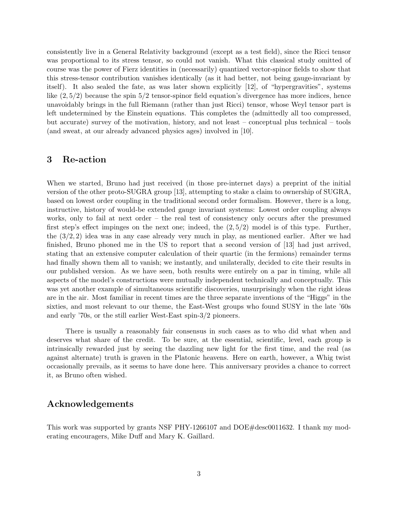consistently live in a General Relativity background (except as a test field), since the Ricci tensor was proportional to its stress tensor, so could not vanish. What this classical study omitted of course was the power of Fierz identities in (necessarily) quantized vector-spinor fields to show that this stress-tensor contribution vanishes identically (as it had better, not being gauge-invariant by itself). It also sealed the fate, as was later shown explicitly [12], of "hypergravities", systems like  $(2, 5/2)$  because the spin  $5/2$  tensor-spinor field equation's divergence has more indices, hence unavoidably brings in the full Riemann (rather than just Ricci) tensor, whose Weyl tensor part is left undetermined by the Einstein equations. This completes the (admittedly all too compressed, but accurate) survey of the motivation, history, and not least – conceptual plus technical – tools (and sweat, at our already advanced physics ages) involved in [10].

#### 3 Re-action

When we started, Bruno had just received (in those pre-internet days) a preprint of the initial version of the other proto-SUGRA group [13], attempting to stake a claim to ownership of SUGRA, based on lowest order coupling in the traditional second order formalism. However, there is a long, instructive, history of would-be extended gauge invariant systems: Lowest order coupling always works, only to fail at next order – the real test of consistency only occurs after the presumed first step's effect impinges on the next one; indeed, the  $(2, 5/2)$  model is of this type. Further, the  $(3/2, 2)$  idea was in any case already very much in play, as mentioned earlier. After we had finished, Bruno phoned me in the US to report that a second version of [13] had just arrived, stating that an extensive computer calculation of their quartic (in the fermions) remainder terms had finally shown them all to vanish; we instantly, and unilaterally, decided to cite their results in our published version. As we have seen, both results were entirely on a par in timing, while all aspects of the model's constructions were mutually independent technically and conceptually. This was yet another example of simultaneous scientific discoveries, unsurprisingly when the right ideas are in the air. Most familiar in recent times are the three separate inventions of the "Higgs" in the sixties, and most relevant to our theme, the East-West groups who found SUSY in the late '60s and early '70s, or the still earlier West-East spin-3/2 pioneers.

There is usually a reasonably fair consensus in such cases as to who did what when and deserves what share of the credit. To be sure, at the essential, scientific, level, each group is intrinsically rewarded just by seeing the dazzling new light for the first time, and the real (as against alternate) truth is graven in the Platonic heavens. Here on earth, however, a Whig twist occasionally prevails, as it seems to have done here. This anniversary provides a chance to correct it, as Bruno often wished.

## Acknowledgements

This work was supported by grants NSF PHY-1266107 and DOE#desc0011632. I thank my moderating encouragers, Mike Duff and Mary K. Gaillard.